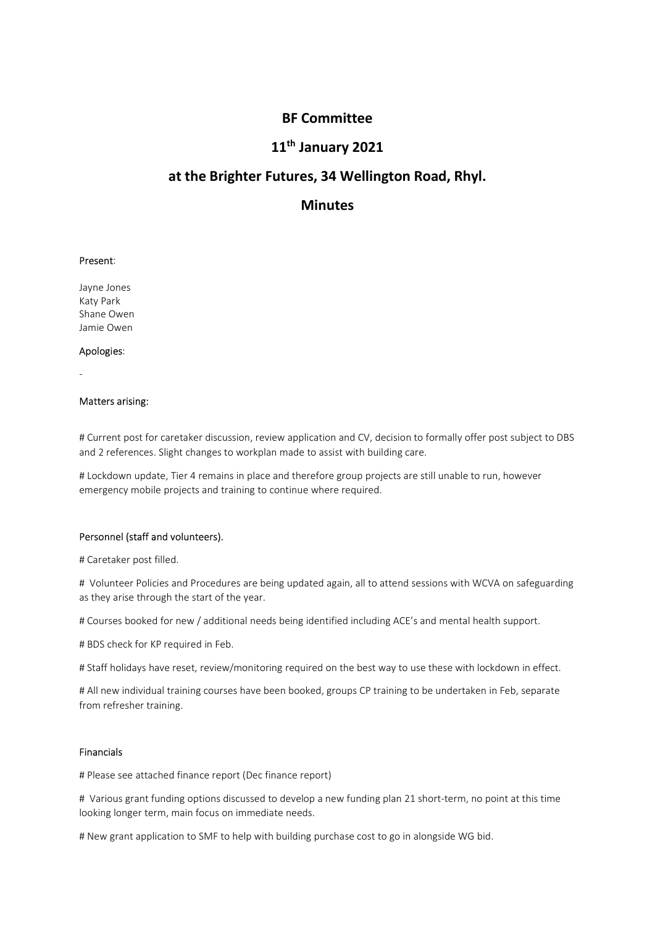# BF Committee<br>1<sup>th</sup> January 2021<br>tures, 34 Wellington Road, Rhyl. BF Committee<br>11<sup>th</sup> January 2021<br>utures, 34 Wellington Road, Rhyl.<br>Minutes BF Committee<br>11<sup>th</sup> January 2021<br>at the Brighter Futures, 34 Wellington Road, Rhyl.<br>Minutes **BF Committee<br>
11<sup>th</sup> January 2021<br>
at the Brighter Futures, 34 Wellington Road, RI<br>
Minutes<br>
Present:<br>
Jayne Jones<br>
Resty Park<br>
Shane Owen<br>
Mapologies:<br>
Apologies: BF Committee<br>
11<sup>th</sup> January 2021<br>
at the Brighter Futures, 34 Wellington Road, R<br>
Minutes<br>
Present:<br>
Present:<br>
Present:<br>
Agayle Jones<br>
Share Owen<br>
Apologies:<br>
Apologies: BF Committee<br>
11<sup>th</sup> January 2021**<br> **at the Brighter Futures, 34 Wellington Road, Rh<br>
Minutes<br>
Present:<br>
Present:<br>
Present:<br>
Shane Owen<br>
Apologies:<br>
Apologies: BF Committee<br>
11<sup>th</sup> January 2021<br>
at the Brighter Futures, 34 Wellington Road, RI<br>
Minutes<br>
Present:<br>
Jayne Jones<br>
Katy Park<br>
Shane Owen<br>
Apologies:<br>
Apologies:<br>
-<br>
Matters arising:**

# **Minutes**

**11<sup>th</sup> January 2021**<br> **at the Brighter Futures, 34 Wellington Road, Rhy**<br> **Minutes**<br>
Present:<br>
Apologies:<br>
Apologies:<br>
-Matters arising:<br>
Apologies:<br>
-Matters arising:<br>
Apologies:<br>
-Matters arising:<br>
# Current post for ca **at the Brighter Futures, 34 Wellington Road, Rhyl.**<br> **Minutes**<br> **Present:**<br>
Applique Jones<br>
Applique Jones<br>
Applique Jones<br>
Applique Jones<br>
Matters arising:<br>
Matters arising:<br>
Matters arising:<br>
Matters arising:<br>
Matters a and 2 references. Slight changes to workpland and CV, decision to Gormally offer post subject to DBS<br>Present:<br>Shane Owen<br>Apologies:<br>-<br>Matters arising:<br>-<br>If Lockdown update, Tier 4 remains in place and therefore group proje **Minutes**<br>**Example Jones**<br>**Example Jones**<br>**Shane Owen**<br>**Apologies:**<br>**Alatters arising:**<br>**Alatters arising:**<br>**Alatters arising:**<br> $\#$  Current post for caretaker discussion, review application and CV, decision to formally of **Present:**<br>Katy Park<br>Katy Park<br>Apologies:<br>-<br>**Apologies:**<br>-<br>Matters arising:<br>-<br>Matters arising:<br>-<br>Apologies:<br>-<br>Action and training to continue where required.<br>Apologies are arising to continue where required.<br>-<br>Apologies ar Present:<br>
Jayne Jones<br>
Katy Park<br>
Katy Park<br>
Shane Owen<br>
Apologies:<br>
-<br>
Matters arising:<br>
Purcent post for caretaker discussion, review application and CV, decision to formally offer post subjects<br>
and 2 references. Slight Jayne Jones<br>
Araly Park<br>
Katy Park<br>
Share Owen<br>
Apologies:<br>
# Current post for caretaker discussion, review application and CV, decision to formally offer post s<br>
and 2 references. Slight changes to workplan made to assist shane Owen<br>**Apologies:**<br>**Apologies:**<br>**Apologies:**<br>**Alticers and Procedures** Slight changes to workplan made to assist with building care.<br>**Altickdown update, Tier 4 remains in place and therefore group projects are still u** Jamie Owen<br>
Apologies:<br>
+ Current post for caretaker discussion, review application and CV, decision to formally offer post subject to DBS<br>
and 2 references. Slight changes to workplan made to assist with building care.<br>
# Apologies:<br>
-<br>
Matters arising:<br>
Matters arising:<br>
Matters arising:<br>
Matters book for care taken discussion, review application and CV, decision to formally offer post subject to D85<br>
And Z references. Slight changes to wo -<br> *M* Current post for caretaker discussion, review application and CV, decision to formally offer post subject to DBS<br>
and 2 references. Slight changes to workplan made to assist with building care.<br>
# Lockdown update, T **Matters arising:**<br> **# Current post for caretaker discussion, review application and CV, decision to formally offer post subject to DBS<br>
and 2 references. Slight changes to workpian made to assist with building care.<br>
<b># L** # Current post for caretaker discussion, review application and CV, decision to formally offer post subject to DBS<br>and 2 references. Slight changes to workplan made to assist with building care.<br># Lockdown update, Tier 4 r # Current post for caretaker discussion, review application and CV, decision to formally offer post<br>and 2 references. Slight changes to workplan made to assist with building care.<br>
# Lockdown update, Tier 4 remains in plac

**Personnel (staff and volunteers).**<br> *W* Caretaker post filled.<br> *W* Volunteer Policies and Procedures are being updated again, all to attend sessions with WCVA on safeguarding<br>
as they arise through the start of the year. **Personnel (staff and volunteers).**<br># Caretaker post filled.<br># Volunteer Policies and Procedures are being updated again, all to attend sessions with WCVA on safeguarding<br>as they arise through the start of the year.<br># Ours retsonnet istant and volunteers).<br>
If Caretaker post filled.<br>
If Caretaker post filled.<br>
If Volunter Policies and Procedures are being updated again, all to attend sessions with WCVA on safeguarding<br>
If Stery arise through # Laretaker post niled.<br># Volunteer Policies and Procedures are being updated again, all to attend sessions with WCVA on safeguarding<br>as they arise through the start of the year.<br># Courses booked for new / additional needs

## Financials